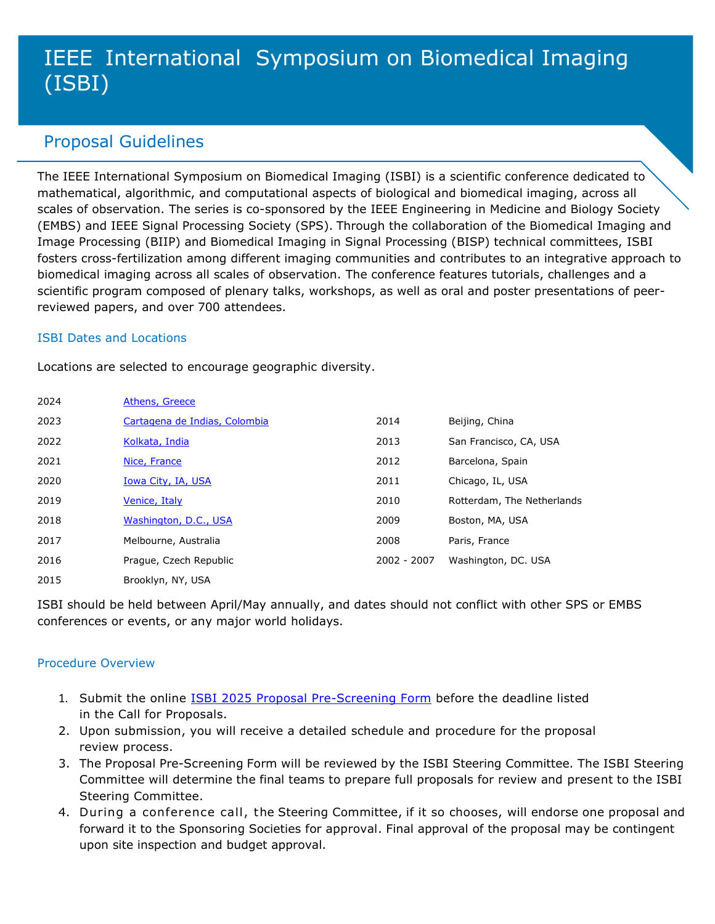# IEEE International Symposium on Biomedical Imaging (ISBI)

## Proposal Guidelines

The IEEE International Symposium on Biomedical Imaging (ISBI) is a scientific conference dedicated to mathematical, algorithmic, and computational aspects of biological and biomedical imaging, across all scales of observation. The series is co-sponsored by the IEEE Engineering in Medicine and Biology Society (EMBS) and IEEE Signal Processing Society (SPS). Through the collaboration of the Biomedical Imaging and Image Processing (BIIP) and Biomedical Imaging in Signal Processing (BISP) technical committees, ISBI fosters cross-fertilization among different imaging communities and contributes to an integrative approach to biomedical imaging across all scales of observation. The conference features tutorials, challenges and a scientific program composed of plenary talks, workshops, as well as oral and poster presentations of peerreviewed papers, and over 700 attendees.

### ISBI Dates and Locations

Locations are selected to encourage geographic diversity.

| 2024 | Athens, Greece                |             |                            |
|------|-------------------------------|-------------|----------------------------|
| 2023 | Cartagena de Indias, Colombia | 2014        | Beijing, China             |
| 2022 | Kolkata, India                | 2013        | San Francisco, CA, USA     |
| 2021 | Nice, France                  | 2012        | Barcelona, Spain           |
| 2020 | <b>Iowa City, IA, USA</b>     | 2011        | Chicago, IL, USA           |
| 2019 | Venice, Italy                 | 2010        | Rotterdam, The Netherlands |
| 2018 | Washington, D.C., USA         | 2009        | Boston, MA, USA            |
| 2017 | Melbourne, Australia          | 2008        | Paris, France              |
| 2016 | Prague, Czech Republic        | 2002 - 2007 | Washington, DC. USA        |
| 2015 | Brooklyn, NY, USA             |             |                            |

ISBI should be held between April/May annually, and dates should not conflict with other SPS or EMBS conferences or events, or any major world holidays.

### Procedure Overview

- 1. Submit the online ISBI 2025 [Proposal Pre-Screening Form](https://app.smartsheet.com/b/form/c2380567af4a437f82054aed830c9262) before the deadline listed in the Call for Proposals.
- 2. Upon submission, you will receive a detailed schedule and procedure for the proposal review process.
- 3. The Proposal Pre-Screening Form will be reviewed by the ISBI Steering Committee. The ISBI Steering Committee will determine the final teams to prepare full proposals for review and present to the ISBI Steering Committee.
- 4. During a conference call, the Steering Committee, if it so chooses, will endorse one proposal and forward it to the Sponsoring Societies for approval. Final approval of the proposal may be contingent upon site inspection and budget approval.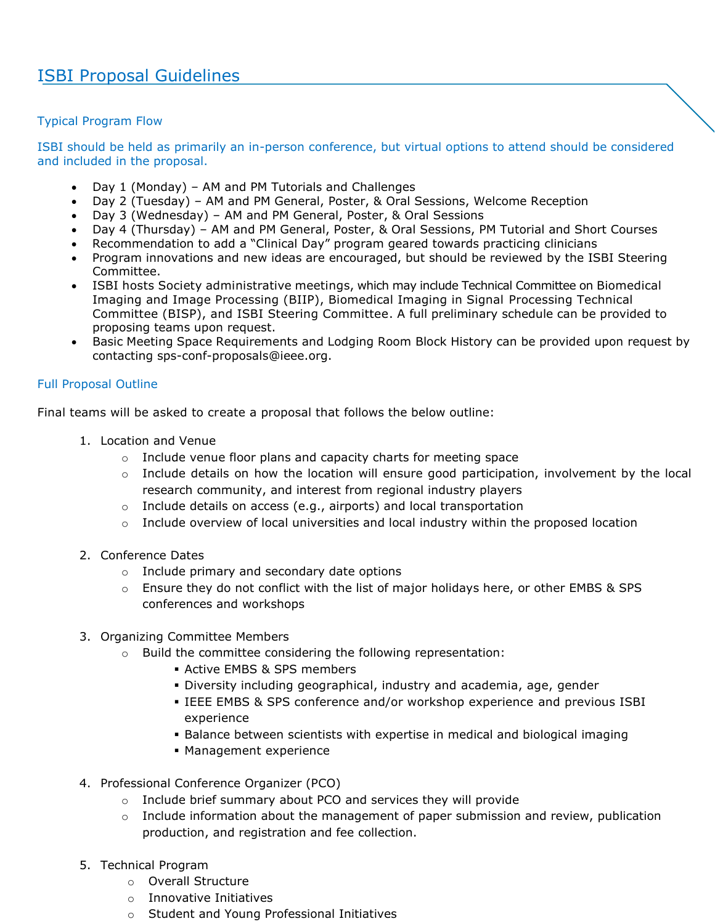### Typical Program Flow

ISBI should be held as primarily an in-person conference, but virtual options to attend should be considered and included in the proposal.

- Day 1 (Monday) AM and PM Tutorials and Challenges
- Day 2 (Tuesday) AM and PM General, Poster, & Oral Sessions, Welcome Reception
- Day 3 (Wednesday) AM and PM General, Poster, & Oral Sessions
- Day 4 (Thursday) AM and PM General, Poster, & Oral Sessions, PM Tutorial and Short Courses
- Recommendation to add a "Clinical Day" program geared towards practicing clinicians
- Program innovations and new ideas are encouraged, but should be reviewed by the ISBI Steering Committee.
- ISBI hosts Society administrative meetings, which may include Technical Committee on Biomedical Imaging and Image Processing (BIIP), Biomedical Imaging in Signal Processing Technical Committee (BISP), and ISBI Steering Committee. A full preliminary schedule can be provided to proposing teams upon request.
- Basic Meeting Space Requirements and Lodging Room Block History can be provided upon request by contacting [sps-conf-proposals@ieee.org.](mailto:sps-conf-proposals@ieee.org)

### Full Proposal Outline

Final teams will be asked to create a proposal that follows the below outline:

- 1. Location and Venue
	- o Include venue floor plans and capacity charts for meeting space
	- $\circ$  Include details on how the location will ensure good participation, involvement by the local research community, and interest from regional industry players
	- o Include details on access (e.g., airports) and local transportation
	- $\circ$  Include overview of local universities and local industry within the proposed location
- 2. Conference Dates
	- o Include primary and secondary date options
	- $\circ$  Ensure they do not conflict with the list of major holidays here, or other EMBS & SPS conferences and workshops
- 3. Organizing Committee Members
	- o Build the committee considering the following representation:
		- **EXEL Active EMBS & SPS members**
		- Diversity including geographical, industry and academia, age, gender
		- IEEE EMBS & SPS conference and/or workshop experience and previous ISBI experience
		- **Balance between scientists with expertise in medical and biological imaging**
		- Management experience
- 4. Professional Conference Organizer (PCO)
	- o Include brief summary about PCO and services they will provide
	- $\circ$  Include information about the management of paper submission and review, publication production, and registration and fee collection.
- 5. Technical Program
	- o Overall Structure
	- o Innovative Initiatives
	- o Student and Young Professional Initiatives